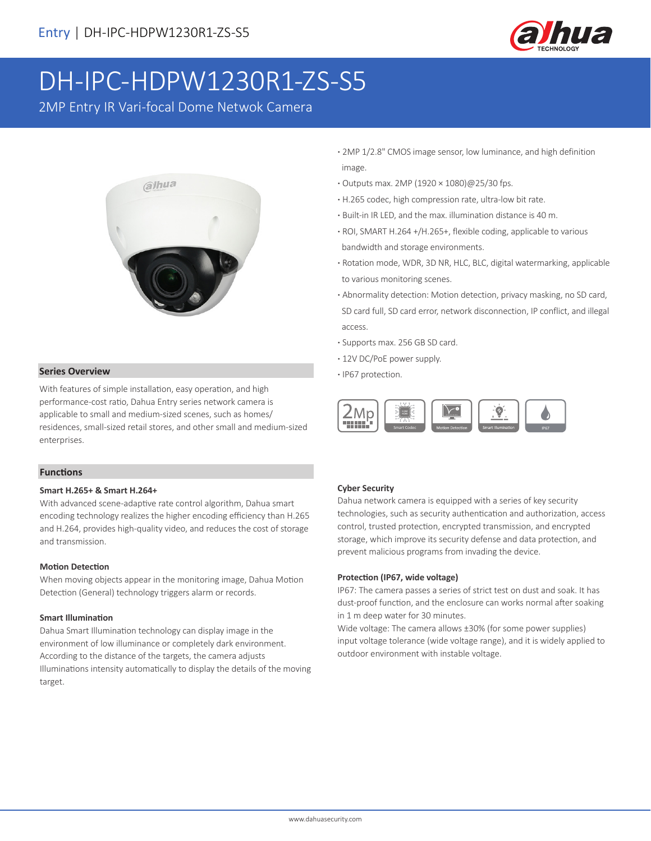

# DH-IPC-HDPW1230R1-ZS-S5

2MP Entry IR Vari-focal Dome Netwok Camera



### **· Series Overview · <b>IP67** protection.

With features of simple installation, easy operation, and high performance-cost ratio, Dahua Entry series network camera is applicable to small and medium-sized scenes, such as homes/ residences, small-sized retail stores, and other small and medium-sized enterprises.

#### **Functions**

#### **Smart H.265+ & Smart H.264+**

With advanced scene-adaptive rate control algorithm, Dahua smart encoding technology realizes the higher encoding efficiency than H.265 and H.264, provides high-quality video, and reduces the cost of storage and transmission.

#### **Motion Detection**

When moving objects appear in the monitoring image, Dahua Motion Detection (General) technology triggers alarm or records.

#### **Smart Illumination**

Dahua Smart Illumination technology can display image in the environment of low illuminance or completely dark environment. According to the distance of the targets, the camera adjusts Illuminations intensity automatically to display the details of the moving target.

- **·** 2MP 1/2.8" CMOS image sensor, low luminance, and high definition image.
- **·** Outputs max. 2MP (1920 × 1080)@25/30 fps.
- **·** H.265 codec, high compression rate, ultra-low bit rate.
- **·** Built-in IR LED, and the max. illumination distance is 40 m.
- **·** ROI, SMART H.264 +/H.265+, flexible coding, applicable to various bandwidth and storage environments.
- **·** Rotation mode, WDR, 3D NR, HLC, BLC, digital watermarking, applicable to various monitoring scenes.
- **·** Abnormality detection: Motion detection, privacy masking, no SD card, SD card full, SD card error, network disconnection, IP conflict, and illegal access.
- **·** Supports max. 256 GB SD card.
- **·** 12V DC/PoE power supply.
- 



#### **Cyber Security**

Dahua network camera is equipped with a series of key security technologies, such as security authentication and authorization, access control, trusted protection, encrypted transmission, and encrypted storage, which improve its security defense and data protection, and prevent malicious programs from invading the device.

#### **Protection (IP67, wide voltage)**

IP67: The camera passes a series of strict test on dust and soak. It has dust-proof function, and the enclosure can works normal after soaking in 1 m deep water for 30 minutes.

Wide voltage: The camera allows ±30% (for some power supplies) input voltage tolerance (wide voltage range), and it is widely applied to outdoor environment with instable voltage.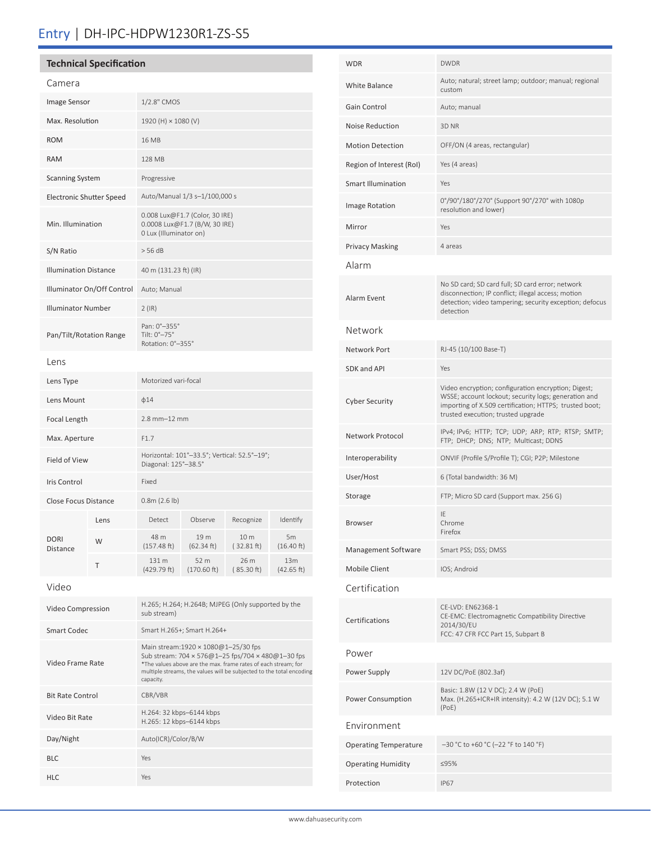## Entry | DH-IPC-HDPW1230R1-ZS-S5

| <b>Technical Specification</b>  |               |                                                                                           |                     |                    |                   |  |
|---------------------------------|---------------|-------------------------------------------------------------------------------------------|---------------------|--------------------|-------------------|--|
| Camera                          |               |                                                                                           |                     |                    |                   |  |
| Image Sensor                    |               | 1/2.8" CMOS                                                                               |                     |                    |                   |  |
| Max. Resolution                 |               | 1920 (H) × 1080 (V)                                                                       |                     |                    |                   |  |
| <b>ROM</b>                      |               | 16 MB                                                                                     |                     |                    |                   |  |
| <b>RAM</b>                      |               | <b>128 MB</b>                                                                             |                     |                    |                   |  |
| <b>Scanning System</b>          |               | Progressive                                                                               |                     |                    |                   |  |
| <b>Electronic Shutter Speed</b> |               | Auto/Manual 1/3 s-1/100,000 s                                                             |                     |                    |                   |  |
| Min. Illumination               |               | 0.008 Lux@F1.7 (Color, 30 IRE)<br>0.0008 Lux@F1.7 (B/W, 30 IRE)<br>0 Lux (Illuminator on) |                     |                    |                   |  |
| S/N Ratio                       |               | > 56 dB                                                                                   |                     |                    |                   |  |
| <b>Illumination Distance</b>    |               | 40 m (131.23 ft) (IR)                                                                     |                     |                    |                   |  |
| Illuminator On/Off Control      |               | Auto; Manual                                                                              |                     |                    |                   |  |
| <b>Illuminator Number</b>       |               | $2$ (IR)                                                                                  |                     |                    |                   |  |
| Pan/Tilt/Rotation Range         |               | Pan: 0°-355°<br>Tilt: 0°-75°<br>Rotation: 0°-355°                                         |                     |                    |                   |  |
| Lens                            |               |                                                                                           |                     |                    |                   |  |
| Lens Type                       |               | Motorized vari-focal                                                                      |                     |                    |                   |  |
| Lens Mount                      |               |                                                                                           | $\phi$ 14           |                    |                   |  |
|                                 | Focal Length  |                                                                                           | $2.8$ mm $-12$ mm   |                    |                   |  |
|                                 | Max. Aperture |                                                                                           | F1.7                |                    |                   |  |
| Field of View                   |               | Horizontal: 101°-33.5°; Vertical: 52.5°-19°;<br>Diagonal: 125°-38.5°                      |                     |                    |                   |  |
| Iris Control                    |               | Fixed                                                                                     |                     |                    |                   |  |
| <b>Close Focus Distance</b>     |               | 0.8m(2.6 lb)                                                                              |                     |                    |                   |  |
|                                 | Lens          | Detect                                                                                    | Observe             | Recognize          | Identify          |  |
| <b>DORI</b><br><b>Distance</b>  | W             | 48 m<br>(157.48 ft)                                                                       | 19 m<br>(62.34 ft)  | 10 m<br>(32.81 ft) | 5m<br>(16.40 ft)  |  |
|                                 | Τ             | 131 m<br>(429.79 ft)                                                                      | 52 m<br>(170.60 ft) | 26 m<br>(85.30 ft) | 13m<br>(42.65 ft) |  |
| Video                           |               |                                                                                           |                     |                    |                   |  |
| Video Compression               |               | H.265; H.264; H.264B; MJPEG (Only supported by the<br>sub stream)                         |                     |                    |                   |  |

Smart Codec Smart H.265+; Smart H.264+

Video Bit Rate H.264: 32 kbps–6144 kbps H.265: 12 kbps–6144 kbps

Day/Night Auto(ICR)/Color/B/W

capacity.

Main stream:1920 × 1080@1–25/30 fps

Sub stream: 704 × 576@1–25 fps/704 × 480@1–30 fps \*The values above are the max. frame rates of each stream; for multiple streams, the values will be subjected to the total encoding

Video Frame Rate

Bit Rate Control CBR/VBR

BLC Yes HLC Yes

| <b>WDR</b>                   | <b>DWDR</b>                                                                                                                                                                                                 |  |  |  |  |
|------------------------------|-------------------------------------------------------------------------------------------------------------------------------------------------------------------------------------------------------------|--|--|--|--|
| White Balance                | Auto; natural; street lamp; outdoor; manual; regional<br>custom                                                                                                                                             |  |  |  |  |
| Gain Control                 | Auto; manual                                                                                                                                                                                                |  |  |  |  |
| Noise Reduction              | 3D NR                                                                                                                                                                                                       |  |  |  |  |
| <b>Motion Detection</b>      | OFF/ON (4 areas, rectangular)                                                                                                                                                                               |  |  |  |  |
| Region of Interest (RoI)     | Yes (4 areas)                                                                                                                                                                                               |  |  |  |  |
| Smart Illumination           | Yes                                                                                                                                                                                                         |  |  |  |  |
| Image Rotation               | 0°/90°/180°/270° (Support 90°/270° with 1080p<br>resolution and lower)                                                                                                                                      |  |  |  |  |
| Mirror                       | Yes                                                                                                                                                                                                         |  |  |  |  |
| Privacy Masking              | 4 areas                                                                                                                                                                                                     |  |  |  |  |
| Alarm                        |                                                                                                                                                                                                             |  |  |  |  |
| Alarm Event                  | No SD card; SD card full; SD card error; network<br>disconnection; IP conflict; illegal access; motion<br>detection; video tampering; security exception; defocus<br>detection                              |  |  |  |  |
| Network                      |                                                                                                                                                                                                             |  |  |  |  |
| Network Port                 | RJ-45 (10/100 Base-T)                                                                                                                                                                                       |  |  |  |  |
| SDK and API                  | Yes                                                                                                                                                                                                         |  |  |  |  |
| Cyber Security               | Video encryption; configuration encryption; Digest;<br>WSSE; account lockout; security logs; generation and<br>importing of X.509 certification; HTTPS; trusted boot;<br>trusted execution; trusted upgrade |  |  |  |  |
| Network Protocol             | IPv4; IPv6; HTTP; TCP; UDP; ARP; RTP; RTSP; SMTP;<br>FTP; DHCP; DNS; NTP; Multicast; DDNS                                                                                                                   |  |  |  |  |
| Interoperability             | ONVIF (Profile S/Profile T); CGI; P2P; Milestone                                                                                                                                                            |  |  |  |  |
| User/Host                    | 6 (Total bandwidth: 36 M)                                                                                                                                                                                   |  |  |  |  |
| Storage                      | FTP; Micro SD card (Support max. 256 G)                                                                                                                                                                     |  |  |  |  |
| Browser                      | IF<br>Chrome<br>Firefox                                                                                                                                                                                     |  |  |  |  |
| Management Software          | Smart PSS; DSS; DMSS                                                                                                                                                                                        |  |  |  |  |
| Mobile Client                | IOS; Android                                                                                                                                                                                                |  |  |  |  |
| Certification                |                                                                                                                                                                                                             |  |  |  |  |
| Certifications               | CE-LVD: EN62368-1<br>CE-EMC: Electromagnetic Compatibility Directive<br>2014/30/EU<br>FCC: 47 CFR FCC Part 15, Subpart B                                                                                    |  |  |  |  |
| Power                        |                                                                                                                                                                                                             |  |  |  |  |
| Power Supply                 | 12V DC/PoE (802.3af)                                                                                                                                                                                        |  |  |  |  |
| Power Consumption            | Basic: 1.8W (12 V DC); 2.4 W (PoE)<br>Max. (H.265+ICR+IR intensity): 4.2 W (12V DC); 5.1 W<br>(PoE)                                                                                                         |  |  |  |  |
| Environment                  |                                                                                                                                                                                                             |  |  |  |  |
| <b>Operating Temperature</b> | -30 °C to +60 °C (-22 °F to 140 °F)                                                                                                                                                                         |  |  |  |  |
| Operating Humidity           | ≤95%                                                                                                                                                                                                        |  |  |  |  |
| Protection                   | <b>IP67</b>                                                                                                                                                                                                 |  |  |  |  |